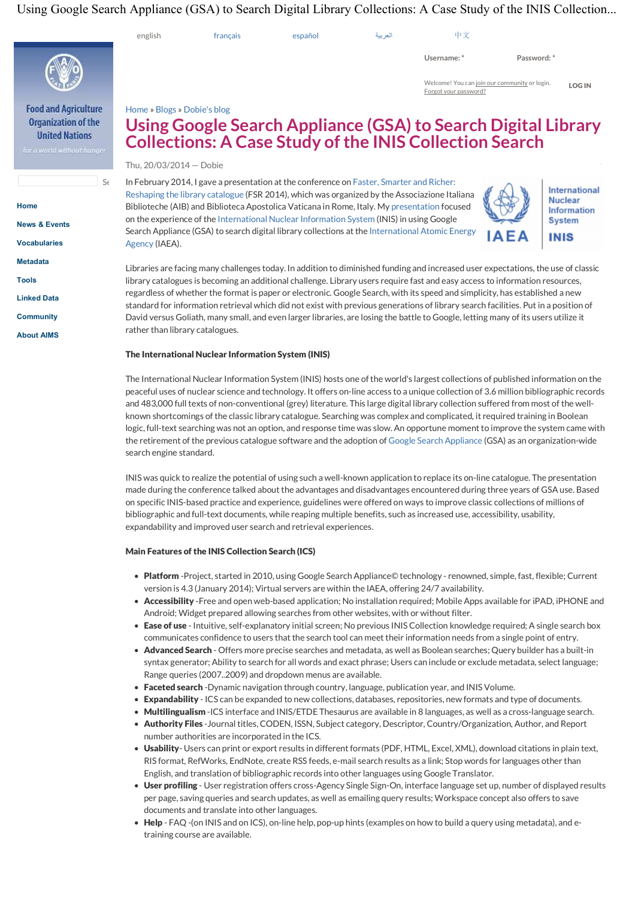# Using Google Search Appliance (GSA) to Search Digital Library Collections: A Case Study of the INIS Collection...

| Using Google Search Appliance (GSA) to Search Digital Library Collections: A Case Study of the INIS Collection. |                                                                                                                                                                                                                                                                                                                                                                                                                                                                                                                                                                                                                                                                                                                                                                                                                                            |                                                     |                                                                                                                                                                                                                                                                                                                                                                                                                                                                                         |         |                                                                        |                                                                                                            |               |  |  |
|-----------------------------------------------------------------------------------------------------------------|--------------------------------------------------------------------------------------------------------------------------------------------------------------------------------------------------------------------------------------------------------------------------------------------------------------------------------------------------------------------------------------------------------------------------------------------------------------------------------------------------------------------------------------------------------------------------------------------------------------------------------------------------------------------------------------------------------------------------------------------------------------------------------------------------------------------------------------------|-----------------------------------------------------|-----------------------------------------------------------------------------------------------------------------------------------------------------------------------------------------------------------------------------------------------------------------------------------------------------------------------------------------------------------------------------------------------------------------------------------------------------------------------------------------|---------|------------------------------------------------------------------------|------------------------------------------------------------------------------------------------------------|---------------|--|--|
|                                                                                                                 | english                                                                                                                                                                                                                                                                                                                                                                                                                                                                                                                                                                                                                                                                                                                                                                                                                                    | français                                            | español                                                                                                                                                                                                                                                                                                                                                                                                                                                                                 | العربية | 中文                                                                     |                                                                                                            |               |  |  |
|                                                                                                                 |                                                                                                                                                                                                                                                                                                                                                                                                                                                                                                                                                                                                                                                                                                                                                                                                                                            |                                                     |                                                                                                                                                                                                                                                                                                                                                                                                                                                                                         |         | Username:*                                                             | Password: *                                                                                                |               |  |  |
|                                                                                                                 |                                                                                                                                                                                                                                                                                                                                                                                                                                                                                                                                                                                                                                                                                                                                                                                                                                            |                                                     |                                                                                                                                                                                                                                                                                                                                                                                                                                                                                         |         | Welcome! You can join our community or login.<br>Forgot your password? |                                                                                                            | <b>LOG IN</b> |  |  |
| <b>Food and Agriculture</b><br>Organization of the<br><b>United Nations</b><br>for a world without hunger       | Home » Blogs » Dobie's blog                                                                                                                                                                                                                                                                                                                                                                                                                                                                                                                                                                                                                                                                                                                                                                                                                |                                                     |                                                                                                                                                                                                                                                                                                                                                                                                                                                                                         |         | <b>Collections: A Case Study of the INIS Collection Search</b>         | Using Google Search Appliance (GSA) to Search Digital Library                                              |               |  |  |
|                                                                                                                 | Thu, 20/03/2014 - Dobie                                                                                                                                                                                                                                                                                                                                                                                                                                                                                                                                                                                                                                                                                                                                                                                                                    |                                                     |                                                                                                                                                                                                                                                                                                                                                                                                                                                                                         |         |                                                                        |                                                                                                            |               |  |  |
| $S \epsilon$<br>Home<br><b>News &amp; Events</b><br><b>Vocabularies</b>                                         | Agency (IAEA).                                                                                                                                                                                                                                                                                                                                                                                                                                                                                                                                                                                                                                                                                                                                                                                                                             |                                                     | In February 2014, I gave a presentation at the conference on Faster, Smarter and Richer:<br>Reshaping the library catalogue (FSR 2014), which was organized by the Associazione Italiana<br>Biblioteche (AIB) and Biblioteca Apostolica Vaticana in Rome, Italy. My presentation focused<br>on the experience of the International Nuclear Information System (INIS) in using Google<br>Search Appliance (GSA) to search digital library collections at the International Atomic Energy |         |                                                                        | <b>International</b><br><b>Nuclear</b><br><b>Information</b><br><b>System</b><br><b>AEA</b><br><b>INIS</b> |               |  |  |
| <b>Metadata</b><br>Tools<br><b>Linked Data</b><br><b>Community</b><br><b>About AIMS</b>                         | Libraries are facing many challenges today. In addition to diminished funding and increased user expectations, the use of classic<br>library catalogues is becoming an additional challenge. Library users require fast and easy access to information resources,<br>regardless of whether the format is paper or electronic. Google Search, with its speed and simplicity, has established a new<br>standard for information retrieval which did not exist with previous generations of library search facilities. Put in a position of<br>David versus Goliath, many small, and even larger libraries, are losing the battle to Google, letting many of its users utilize it<br>rather than library catalogues.                                                                                                                          |                                                     |                                                                                                                                                                                                                                                                                                                                                                                                                                                                                         |         |                                                                        |                                                                                                            |               |  |  |
|                                                                                                                 |                                                                                                                                                                                                                                                                                                                                                                                                                                                                                                                                                                                                                                                                                                                                                                                                                                            | The International Nuclear Information System (INIS) |                                                                                                                                                                                                                                                                                                                                                                                                                                                                                         |         |                                                                        |                                                                                                            |               |  |  |
|                                                                                                                 | The International Nuclear Information System (INIS) hosts one of the world's largest collections of published information on the<br>peaceful uses of nuclear science and technology. It offers on-line access to a unique collection of 3.6 million bibliographic records<br>and 483,000 full texts of non-conventional (grey) literature. This large digital library collection suffered from most of the well-<br>known shortcomings of the classic library catalogue. Searching was complex and complicated, it required training in Boolean<br>logic, full-text searching was not an option, and response time was slow. An opportune moment to improve the system came with<br>the retirement of the previous catalogue software and the adoption of Google Search Appliance (GSA) as an organization-wide<br>search engine standard. |                                                     |                                                                                                                                                                                                                                                                                                                                                                                                                                                                                         |         |                                                                        |                                                                                                            |               |  |  |
|                                                                                                                 | INIS was quick to realize the potential of using such a well-known application to replace its on-line catalogue. The presentation<br>made during the conference talked about the advantages and disadvantages encountered during three years of GSA use. Based<br>on specific INIS-based practice and experience, guidelines were offered on ways to improve classic collections of millions of                                                                                                                                                                                                                                                                                                                                                                                                                                            |                                                     |                                                                                                                                                                                                                                                                                                                                                                                                                                                                                         |         |                                                                        |                                                                                                            |               |  |  |

bibliographic and full-text documents, while reaping multiple benefits, such as increased use, accessibility, usability, expandability and improved user search and retrieval experiences.

## Main Features of the INIS Collection Search (ICS)

- Platform -Project, started in 2010, using Google Search Appliance© technology renowned, simple, fast, flexible; Current version is 4.3 (January 2014); Virtual servers are within the IAEA, offering 24/7 availability.
- Accessibility -Free and open web-based application; No installation required; Mobile Apps available for iPAD, iPHONE and Android; Widget prepared allowing searches from other websites, with or without filter.
- Ease of use Intuitive, self-explanatory initial screen; No previous INIS Collection knowledge required; A single search box communicates confidence to users that the search tool can meet their information needs from a single point of entry.
- Advanced Search Offers more precise searches and metadata, as well as Boolean searches; Query builder has a built-in syntax generator; Ability to search for all words and exact phrase; Users can include or exclude metadata, select language; Range queries (2007..2009) and dropdown menus are available.
- Faceted search -Dynamic navigation through country, language, publication year, and INIS Volume.
- Expandability ICS can be expanded to new collections, databases, repositories, new formats and type of documents.
- Multilingualism -ICS interface and INIS/ETDE Thesaurus are available in 8 languages, as well as a cross-language search.
- Authority Files -Journal titles, CODEN, ISSN, Subject category, Descriptor, Country/Organization, Author, and Report number authorities are incorporated in the ICS.
- Usability- Users can print or export results in different formats (PDF, HTML, Excel, XML), download citations in plain text, RIS format, RefWorks, EndNote, create RSS feeds, e-mail search results as a link; Stop words for languages other than English, and translation of bibliographic records into other languages using Google Translator.
- User profiling User registration offers cross-Agency Single Sign-On, interface language set up, number of displayed results per page, saving queries and search updates, as well as emailing query results; Workspace concept also offers to save documents and translate into other languages.
- Help FAQ -(on INIS and on ICS), on-line help, pop-up hints (examples on how to build a query using metadata), and etraining course are available.